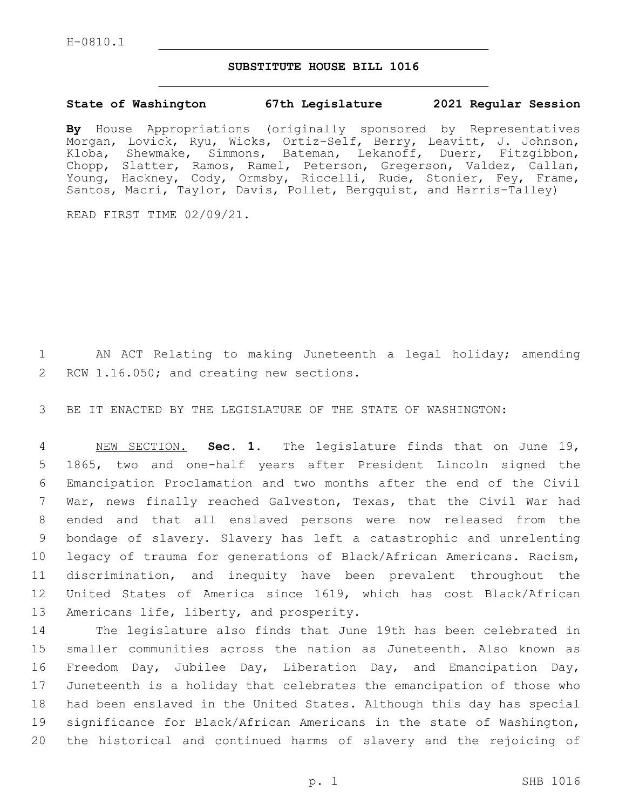H-0810.1

## **SUBSTITUTE HOUSE BILL 1016**

## **State of Washington 67th Legislature 2021 Regular Session**

**By** House Appropriations (originally sponsored by Representatives Morgan, Lovick, Ryu, Wicks, Ortiz-Self, Berry, Leavitt, J. Johnson, Kloba, Shewmake, Simmons, Bateman, Lekanoff, Duerr, Fitzgibbon, Chopp, Slatter, Ramos, Ramel, Peterson, Gregerson, Valdez, Callan, Young, Hackney, Cody, Ormsby, Riccelli, Rude, Stonier, Fey, Frame, Santos, Macri, Taylor, Davis, Pollet, Bergquist, and Harris-Talley)

READ FIRST TIME 02/09/21.

1 AN ACT Relating to making Juneteenth a legal holiday; amending 2 RCW 1.16.050; and creating new sections.

3 BE IT ENACTED BY THE LEGISLATURE OF THE STATE OF WASHINGTON:

 NEW SECTION. **Sec. 1.** The legislature finds that on June 19, 1865, two and one-half years after President Lincoln signed the Emancipation Proclamation and two months after the end of the Civil War, news finally reached Galveston, Texas, that the Civil War had ended and that all enslaved persons were now released from the bondage of slavery. Slavery has left a catastrophic and unrelenting legacy of trauma for generations of Black/African Americans. Racism, discrimination, and inequity have been prevalent throughout the United States of America since 1619, which has cost Black/African 13 Americans life, liberty, and prosperity.

 The legislature also finds that June 19th has been celebrated in smaller communities across the nation as Juneteenth. Also known as Freedom Day, Jubilee Day, Liberation Day, and Emancipation Day, Juneteenth is a holiday that celebrates the emancipation of those who had been enslaved in the United States. Although this day has special significance for Black/African Americans in the state of Washington, the historical and continued harms of slavery and the rejoicing of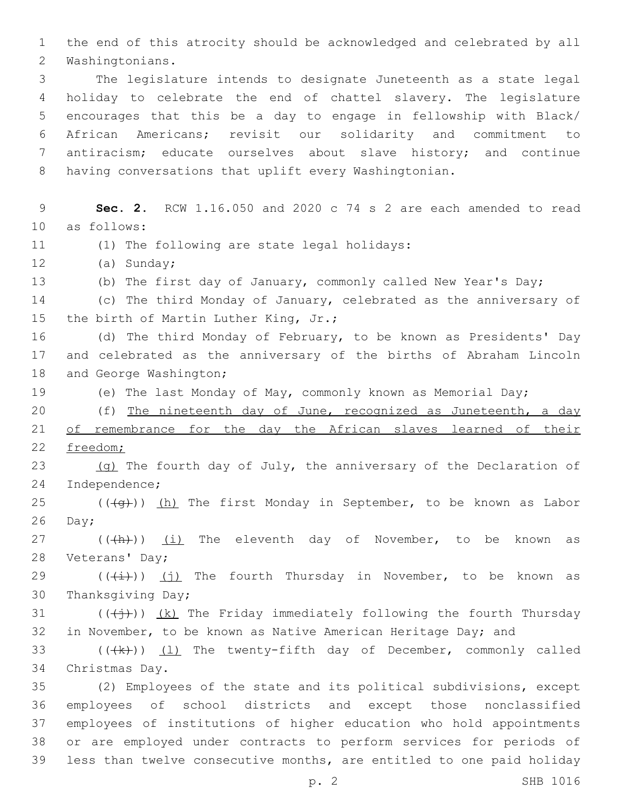1 the end of this atrocity should be acknowledged and celebrated by all 2 Washingtonians.

 The legislature intends to designate Juneteenth as a state legal holiday to celebrate the end of chattel slavery. The legislature encourages that this be a day to engage in fellowship with Black/ African Americans; revisit our solidarity and commitment to antiracism; educate ourselves about slave history; and continue having conversations that uplift every Washingtonian.

9 **Sec. 2.** RCW 1.16.050 and 2020 c 74 s 2 are each amended to read 10 as follows: 11 (1) The following are state legal holidays: 12 (a) Sunday; 13 (b) The first day of January, commonly called New Year's Day; 14 (c) The third Monday of January, celebrated as the anniversary of 15 the birth of Martin Luther King, Jr.; 16 (d) The third Monday of February, to be known as Presidents' Day 17 and celebrated as the anniversary of the births of Abraham Lincoln 18 and George Washington; 19 (e) The last Monday of May, commonly known as Memorial Day; 20 (f) The nineteenth day of June, recognized as Juneteenth, a day 21 of remembrance for the day the African slaves learned of their 22 freedom; 23 (g) The fourth day of July, the anniversary of the Declaration of 24 Independence; 25 ( $(\overline{+q})$ ) (h) The first Monday in September, to be known as Labor  $26$  Day; 27 (((h)) (i) The eleventh day of November, to be known as 28 Veterans' Day; 29  $((\overleftrightarrow{t}))(j)$  The fourth Thursday in November, to be known as 30 Thanksgiving Day; 31 ( $(\frac{1}{2})$ ) (k) The Friday immediately following the fourth Thursday 32 in November, to be known as Native American Heritage Day; and 33  $((\langle k \rangle)(1)$  The twenty-fifth day of December, commonly called 34 Christmas Day. 35 (2) Employees of the state and its political subdivisions, except 36 employees of school districts and except those nonclassified 37 employees of institutions of higher education who hold appointments 38 or are employed under contracts to perform services for periods of 39 less than twelve consecutive months, are entitled to one paid holiday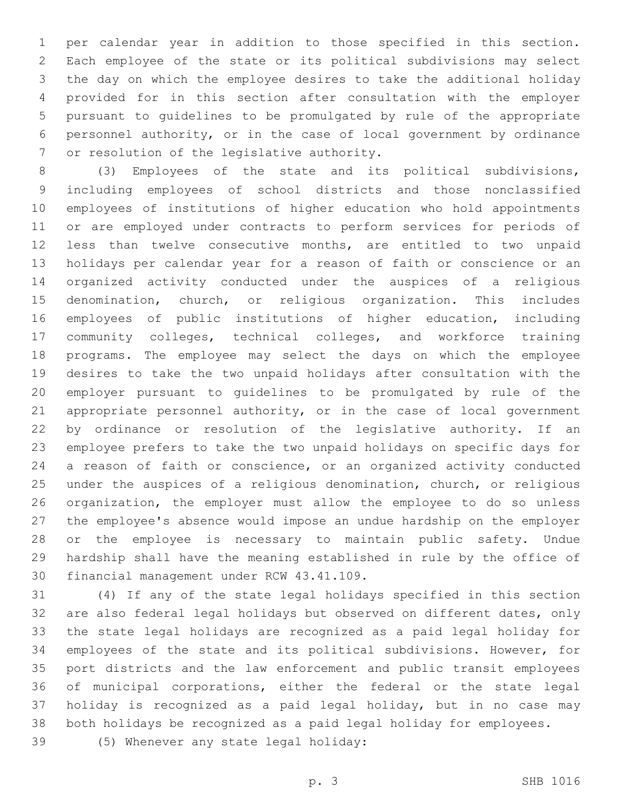per calendar year in addition to those specified in this section. Each employee of the state or its political subdivisions may select the day on which the employee desires to take the additional holiday provided for in this section after consultation with the employer pursuant to guidelines to be promulgated by rule of the appropriate personnel authority, or in the case of local government by ordinance 7 or resolution of the legislative authority.

 (3) Employees of the state and its political subdivisions, including employees of school districts and those nonclassified employees of institutions of higher education who hold appointments or are employed under contracts to perform services for periods of less than twelve consecutive months, are entitled to two unpaid holidays per calendar year for a reason of faith or conscience or an organized activity conducted under the auspices of a religious denomination, church, or religious organization. This includes employees of public institutions of higher education, including community colleges, technical colleges, and workforce training programs. The employee may select the days on which the employee desires to take the two unpaid holidays after consultation with the employer pursuant to guidelines to be promulgated by rule of the appropriate personnel authority, or in the case of local government by ordinance or resolution of the legislative authority. If an employee prefers to take the two unpaid holidays on specific days for a reason of faith or conscience, or an organized activity conducted under the auspices of a religious denomination, church, or religious organization, the employer must allow the employee to do so unless the employee's absence would impose an undue hardship on the employer or the employee is necessary to maintain public safety. Undue hardship shall have the meaning established in rule by the office of 30 financial management under RCW 43.41.109.

 (4) If any of the state legal holidays specified in this section are also federal legal holidays but observed on different dates, only the state legal holidays are recognized as a paid legal holiday for employees of the state and its political subdivisions. However, for port districts and the law enforcement and public transit employees of municipal corporations, either the federal or the state legal holiday is recognized as a paid legal holiday, but in no case may both holidays be recognized as a paid legal holiday for employees.

(5) Whenever any state legal holiday:39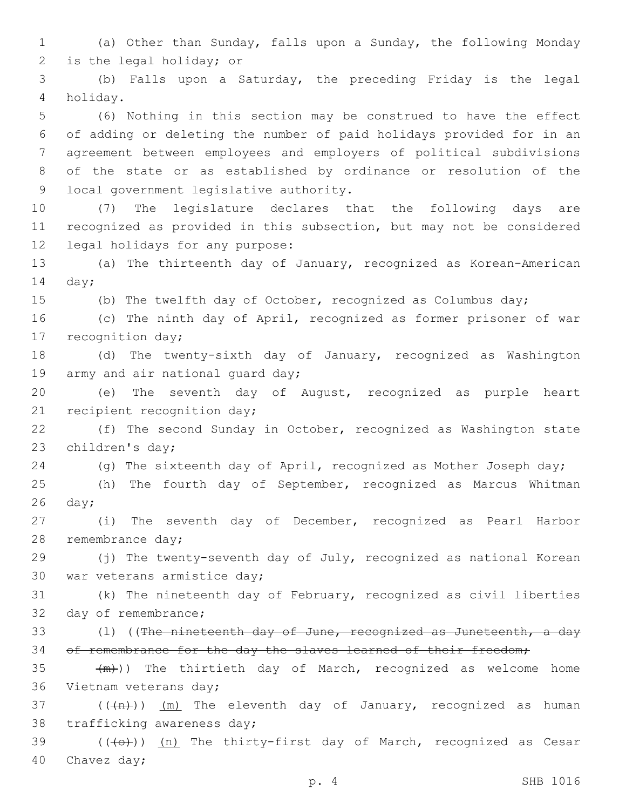1 (a) Other than Sunday, falls upon a Sunday, the following Monday 2 is the legal holiday; or

3 (b) Falls upon a Saturday, the preceding Friday is the legal holiday.4

 (6) Nothing in this section may be construed to have the effect of adding or deleting the number of paid holidays provided for in an agreement between employees and employers of political subdivisions of the state or as established by ordinance or resolution of the 9 local government legislative authority.

10 (7) The legislature declares that the following days are 11 recognized as provided in this subsection, but may not be considered 12 legal holidays for any purpose:

13 (a) The thirteenth day of January, recognized as Korean-American 14 day;

15 (b) The twelfth day of October, recognized as Columbus day;

16 (c) The ninth day of April, recognized as former prisoner of war 17 recognition day;

18 (d) The twenty-sixth day of January, recognized as Washington 19 army and air national quard day;

20 (e) The seventh day of August, recognized as purple heart 21 recipient recognition day;

22 (f) The second Sunday in October, recognized as Washington state 23 children's day;

24 (g) The sixteenth day of April, recognized as Mother Joseph day;

25 (h) The fourth day of September, recognized as Marcus Whitman  $26$  day;

27 (i) The seventh day of December, recognized as Pearl Harbor 28 remembrance day;

29 (j) The twenty-seventh day of July, recognized as national Korean 30 war veterans armistice day;

31 (k) The nineteenth day of February, recognized as civil liberties 32 day of remembrance;

33 (1) ((The nineteenth day of June, recognized as Juneteenth, a day 34 of remembrance for the day the slaves learned of their freedom;

35  $+m)$ ) The thirtieth day of March, recognized as welcome home 36 Vietnam veterans day;

37 ( $(\overline{+n})$ )  $(m)$  The eleventh day of January, recognized as human 38 trafficking awareness day;

39 (((+))) (n) The thirty-first day of March, recognized as Cesar 40 Chavez day;